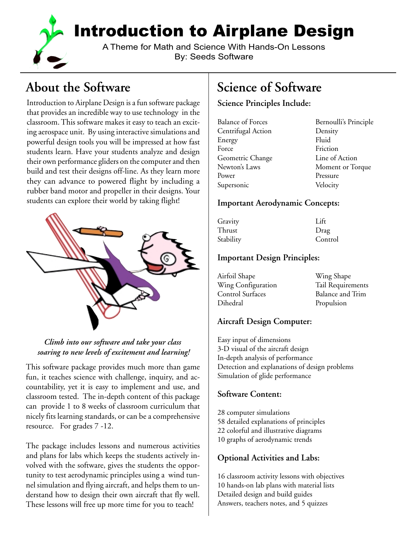

Introduction to Airplane Design

A Theme for Math and Science With Hands-On Lessons By: Seeds Software

# **About the Software**

Introduction to Airplane Design is a fun software package that provides an incredible way to use technology in the classroom. This software makes it easy to teach an exciting aerospace unit. By using interactive simulations and powerful design tools you will be impressed at how fast students learn. Have your students analyze and design their own performance gliders on the computer and then build and test their designs off-line. As they learn more they can advance to powered flight by including a rubber band motor and propeller in their designs. Your students can explore their world by taking flight!



### *Climb into our software and take your class soaring to new levels of excitement and learning!*

This software package provides much more than game fun, it teaches science with challenge, inquiry, and accountability, yet it is easy to implement and use, and classroom tested. The in-depth content of this package can provide 1 to 8 weeks of classroom curriculum that nicely fits learning standards, or can be a comprehensive resource. For grades 7 -12.

The package includes lessons and numerous activities and plans for labs which keeps the students actively involved with the software, gives the students the opportunity to test aerodynamic principles using a wind tunnel simulation and flying aircraft, and helps them to understand how to design their own aircraft that fly well. These lessons will free up more time for you to teach!

# **Science of Software**

### **Science Principles Include:**

| <b>Balance of Forces</b> | Bernoulli's Principle |
|--------------------------|-----------------------|
| Centrifugal Action       | Density               |
| Energy                   | Fluid                 |
| Force                    | Friction              |
| Geometric Change         | Line of Action        |
| Newton's Laws            | Moment or Torque      |
| Power                    | Pressure              |
| Supersonic               | Velocity              |

#### **Important Aerodynamic Concepts:**

| Gravity   | Lift    |
|-----------|---------|
| Thrust    | Drag    |
| Stability | Control |

### **Important Design Principles:**

| Airfoil Shape      | Wing Shape              |
|--------------------|-------------------------|
| Wing Configuration | Tail Requirements       |
| Control Surfaces   | <b>Balance and Trim</b> |
| Dihedral           | Propulsion              |

### **Aircraft Design Computer:**

Easy input of dimensions 3-D visual of the aircraft design In-depth analysis of performance Detection and explanations of design problems Simulation of glide performance

### **Software Content:**

28 computer simulations 58 detailed explanations of principles 22 colorful and illustrative diagrams 10 graphs of aerodynamic trends

### **Optional Activities and Labs:**

16 classroom activity lessons with objectives 10 hands-on lab plans with material lists Detailed design and build guides Answers, teachers notes, and 5 quizzes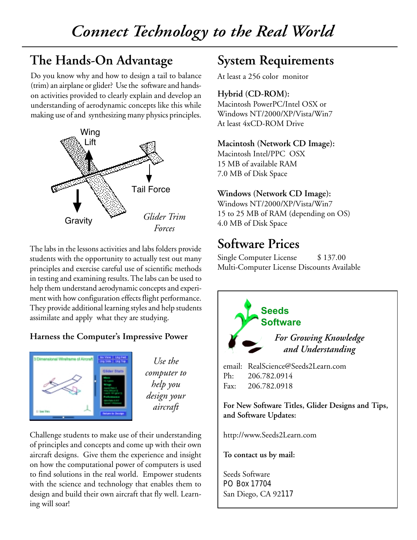# **The Hands-On Advantage**

Do you know why and how to design a tail to balance (trim) an airplane or glider? Use the software and handson activities provided to clearly explain and develop an understanding of aerodynamic concepts like this while making use of and synthesizing many physics principles.



The labs in the lessons activities and labs folders provide students with the opportunity to actually test out many principles and exercise careful use of scientific methods in testing and examining results. The labs can be used to help them understand aerodynamic concepts and experiment with how configuration effects flight performance. They provide additional learning styles and help students assimilate and apply what they are studying.

## **Harness the Computer's Impressive Power**



*Use the computer to help you design your aircraft*

Challenge students to make use of their understanding of principles and concepts and come up with their own aircraft designs. Give them the experience and insight on how the computational power of computers is used to find solutions in the real world. Empower students with the science and technology that enables them to design and build their own aircraft that fly well. Learning will soar!

## **System Requirements**

At least a 256 color monitor

### **Hybrid (CD-ROM):**

Macintosh PowerPC/Intel OSX or Windows NT/2000/XP/Vista/Win7 At least 4xCD-ROM Drive

### **Macintosh (Network CD Image):**

Macintosh Intel/PPC OSX 15 MB of available RAM 7.0 MB of Disk Space

### **Windows (Network CD Image):**

Windows NT/2000/XP/Vista/Win7 15 to 25 MB of RAM (depending on OS) 4.0 MB of Disk Space

## **Software Prices**

Single Computer License \$137.00 Multi-Computer License Discounts Available



Seeds Software PO Box 17704 San Diego, CA 92117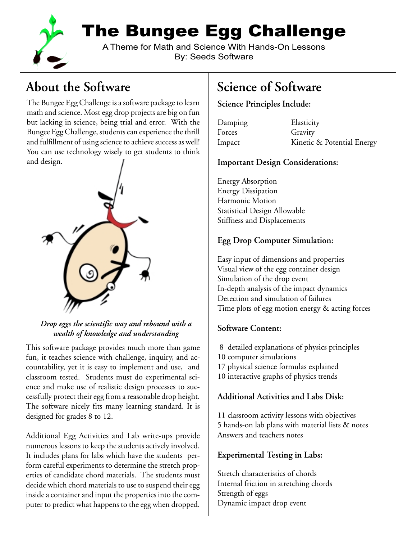

The Bungee Egg Challenge

A Theme for Math and Science With Hands-On Lessons By: Seeds Software

# **About the Software**

The Bungee Egg Challenge is a software package to learn math and science. Most egg drop projects are big on fun but lacking in science, being trial and error. With the Bungee Egg Challenge, students can experience the thrill and fulfillment of using science to achieve success as well! You can use technology wisely to get students to think and design.



*Drop eggs the scientific way and rebound with a wealth of knowledge and understanding*

This software package provides much more than game fun, it teaches science with challenge, inquiry, and accountability, yet it is easy to implement and use, and classroom tested. Students must do experimental science and make use of realistic design processes to successfully protect their egg from a reasonable drop height. The software nicely fits many learning standard. It is designed for grades 8 to 12.

Additional Egg Activities and Lab write-ups provide numerous lessons to keep the students actively involved. It includes plans for labs which have the students perform careful experiments to determine the stretch properties of candidate chord materials. The students must decide which chord materials to use to suspend their egg inside a container and input the properties into the computer to predict what happens to the egg when dropped.

# **Science of Software**

### **Science Principles Include:**

| Damping | Elasticity                 |
|---------|----------------------------|
| Forces  | Gravity                    |
| Impact  | Kinetic & Potential Energy |

### **Important Design Considerations:**

Energy Absorption Energy Dissipation Harmonic Motion Statistical Design Allowable Stiffness and Displacements

### **Egg Drop Computer Simulation:**

Easy input of dimensions and properties Visual view of the egg container design Simulation of the drop event In-depth analysis of the impact dynamics Detection and simulation of failures Time plots of egg motion energy & acting forces

### **Software Content:**

- 8 detailed explanations of physics principles
- 10 computer simulations
- 17 physical science formulas explained
- 10 interactive graphs of physics trends

### **Additional Activities and Labs Disk:**

11 classroom activity lessons with objectives 5 hands-on lab plans with material lists & notes Answers and teachers notes

## **Experimental Testing in Labs:**

Stretch characteristics of chords Internal friction in stretching chords Strength of eggs Dynamic impact drop event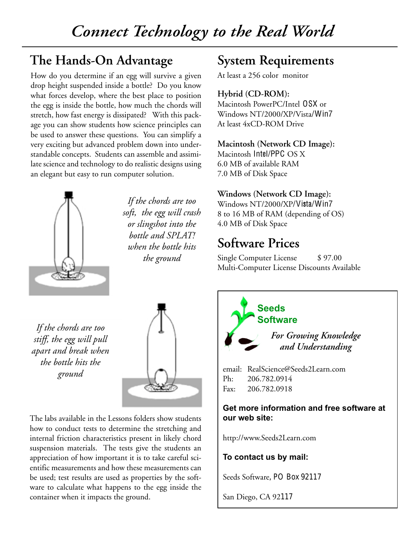## **The Hands-On Advantage**

How do you determine if an egg will survive a given drop height suspended inside a bottle? Do you know what forces develop, where the best place to position the egg is inside the bottle, how much the chords will stretch, how fast energy is dissipated? With this package you can show students how science principles can be used to answer these questions. You can simplify a very exciting but advanced problem down into understandable concepts. Students can assemble and assimilate science and technology to do realistic designs using an elegant but easy to run computer solution.



*If the chords are too soft, the egg will crash or slingshot into the bottle and SPLAT! when the bottle hits the ground*

# **System Requirements**

At least a 256 color monitor

### **Hybrid (CD-ROM):**

Macintosh PowerPC/Intel OSX or Windows NT/2000/XP/Vista/Win7 At least 4xCD-ROM Drive

### **Macintosh (Network CD Image):**

Macintosh Intel/PPC OS X 6.0 MB of available RAM 7.0 MB of Disk Space

### **Windows (Network CD Image):**

Windows NT/2000/XP/Vista/Win7 8 to 16 MB of RAM (depending of OS) 4.0 MB of Disk Space

## **Software Prices**

Single Computer License \$97.00 Multi-Computer License Discounts Available

*If the chords are too stiff, the egg will pull apart and break when the bottle hits the ground*



The labs available in the Lessons folders show students how to conduct tests to determine the stretching and internal friction characteristics present in likely chord suspension materials. The tests give the students an appreciation of how important it is to take careful scientific measurements and how these measurements can be used; test results are used as properties by the software to calculate what happens to the egg inside the container when it impacts the ground.



### **Get more information and free software at our web site:**

http://www.Seeds2Learn.com

### **To contact us by mail:**

Seeds Software, PO Box 92117

San Diego, CA 92117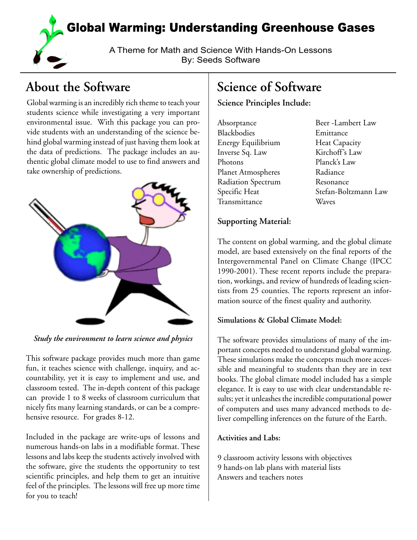

# **About the Software**

Global warming is an incredibly rich theme to teach your students science while investigating a very important environmental issue. With this package you can provide students with an understanding of the science behind global warming instead of just having them look at the data of predictions. The package includes an authentic global climate model to use to find answers and take ownership of predictions.



*Study the environment to learn science and physics*

This software package provides much more than game fun, it teaches science with challenge, inquiry, and accountability, yet it is easy to implement and use, and classroom tested. The in-depth content of this package can provide 1 to 8 weeks of classroom curriculum that nicely fits many learning standards, or can be a comprehensive resource. For grades 8-12.

Included in the package are write-ups of lessons and numerous hands-on labs in a modifiable format. These lessons and labs keep the students actively involved with the software, give the students the opportunity to test scientific principles, and help them to get an intuitive feel of the principles. The lessons will free up more time for you to teach!

# **Science of Software**

**Science Principles Include:**

| Absorptance               | Beer-Lambert Law   |
|---------------------------|--------------------|
| Blackbodies               | Emittance          |
| Energy Equilibrium        | Heat Capacity      |
| Inverse Sq. Law           | Kirchoff's Law     |
| Photons                   | Planck's Law       |
| <b>Planet Atmospheres</b> | Radiance           |
| Radiation Spectrum        | Resonance          |
| Specific Heat             | Stefan-Boltzmann I |
| Transmittance             | Waves              |

Radiance Resonance Stefan-Boltzmann Law Waves

### **Supporting Material:**

The content on global warming, and the global climate model, are based extensively on the final reports of the Intergovernmental Panel on Climate Change (IPCC 1990-2001). These recent reports include the preparation, workings, and review of hundreds of leading scientists from 25 counties. The reports represent an information source of the finest quality and authority.

### **Simulations & Global Climate Model:**

The software provides simulations of many of the important concepts needed to understand global warming. These simulations make the concepts much more accessible and meaningful to students than they are in text books. The global climate model included has a simple elegance. It is easy to use with clear understandable results; yet it unleashes the incredible computational power of computers and uses many advanced methods to deliver compelling inferences on the future of the Earth.

### **Activities and Labs:**

9 classroom activity lessons with objectives 9 hands-on lab plans with material lists Answers and teachers notes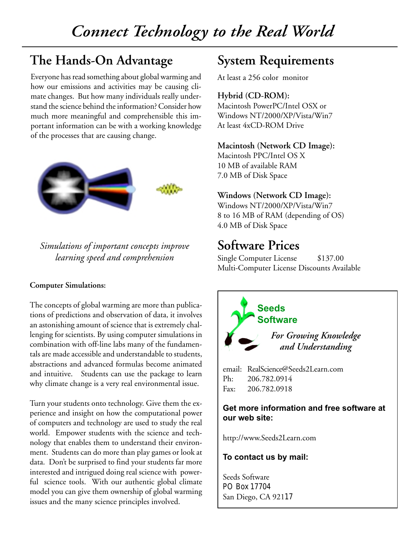# **The Hands-On Advantage**

Everyone has read something about global warming and how our emissions and activities may be causing climate changes. But how many individuals really understand the science behind the information? Consider how much more meaningful and comprehensible this important information can be with a working knowledge of the processes that are causing change.



*Simulations of important concepts improve learning speed and comprehension*

#### **Computer Simulations:**

The concepts of global warming are more than publications of predictions and observation of data, it involves an astonishing amount of science that is extremely challenging for scientists. By using computer simulations in combination with off-line labs many of the fundamentals are made accessible and understandable to students, abstractions and advanced formulas become animated and intuitive. Students can use the package to learn why climate change is a very real environmental issue.

Turn your students onto technology. Give them the experience and insight on how the computational power of computers and technology are used to study the real world. Empower students with the science and technology that enables them to understand their environment. Students can do more than play games or look at data. Don't be surprised to find your students far more interested and intrigued doing real science with powerful science tools. With our authentic global climate model you can give them ownership of global warming issues and the many science principles involved.

## **System Requirements**

At least a 256 color monitor

#### **Hybrid (CD-ROM):**

Macintosh PowerPC/Intel OSX or Windows NT/2000/XP/Vista/Win7 At least 4xCD-ROM Drive

#### **Macintosh (Network CD Image):**

Macintosh PPC/Intel OS X 10 MB of available RAM 7.0 MB of Disk Space

### **Windows (Network CD Image):**

Windows NT/2000/XP/Vista/Win7 8 to 16 MB of RAM (depending of OS) 4.0 MB of Disk Space

## **Software Prices**

Single Computer License \$137.00 Multi-Computer License Discounts Available



#### **Get more information and free software at our web site:**

http://www.Seeds2Learn.com

#### **To contact us by mail:**

Seeds Software PO Box 17704 San Diego, CA 92117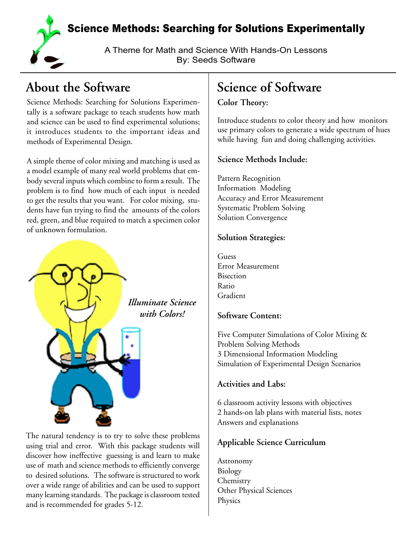

Science Methods: Searching for Solutions Experimentally

A Theme for Math and Science With Hands-On Lessons By: Seeds Software

# **About the Software**

Science Methods: Searching for Solutions Experimentally is a software package to teach students how math and science can be used to find experimental solutions; it introduces students to the important ideas and methods of Experimental Design.

A simple theme of color mixing and matching is used as a model example of many real world problems that embody several inputs which combine to form a result. The problem is to find how much of each input is needed to get the results that you want. For color mixing, students have fun trying to find the amounts of the colors red, green, and blue required to match a specimen color of unknown formulation.



The natural tendency is to try to solve these problems using trial and error. With this package students will discover how ineffective guessing is and learn to make use of math and science methods to efficiently converge to desired solutions. The software is structured to work over a wide range of abilities and can be used to support many learning standards. The package is classroom tested and is recommended for grades 5-12.

# **Science of Software**

### **Color Theory:**

Introduce students to color theory and how monitors use primary colors to generate a wide spectrum of hues while having fun and doing challenging activities.

## **Science Methods Include:**

Pattern Recognition Information Modeling Accuracy and Error Measurement Systematic Problem Solving Solution Convergence

### **Solution Strategies:**

Guess Error Measurement Bisection Ratio Gradient

## **Software Content:**

Five Computer Simulations of Color Mixing & Problem Solving Methods 3 Dimensional Information Modeling Simulation of Experimental Design Scenarios

## **Activities and Labs:**

6 classroom activity lessons with objectives 2 hands-on lab plans with material lists, notes Answers and explanations

## **Applicable Science Curriculum**

Astronomy Biology Chemistry Other Physical Sciences Physics